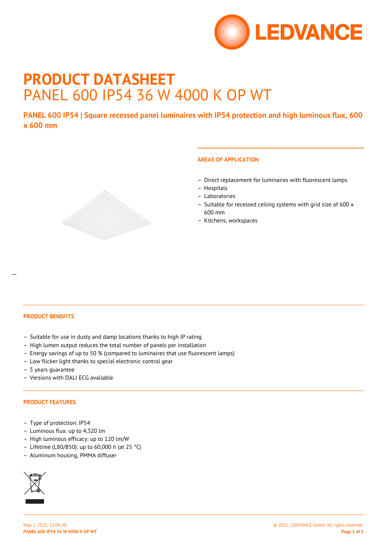

# **PRODUCT DATASHEET** PANEL 600 IP54 36 W 4000 K OP WT

**PANEL 600 IP54 | Square recessed panel luminaires with IP54 protection and high luminous flux, 600 x 600 mm**



- Direct replacement for luminaires with fluorescent lamps
- Hospitals
- Laboratories
- Suitable for recessed ceiling systems with grid size of 600 x 600 mm
- Kitchens, workspaces

## **PRODUCT BENEFITS**

- Suitable for use in dusty and damp locations thanks to high IP rating
- High lumen output reduces the total number of panels per installation
- Energy savings of up to 50 % (compared to luminaires that use fluorescent lamps)
- Low flicker light thanks to special electronic control gear
- 5 years guarantee
- Versions with DALI ECG available

## **PRODUCT FEATURES**

- Type of protection: IP54
- Luminous flux: up to 4,320 lm
- High luminous efficacy: up to 120 lm/W
- Lifetime (L80/B50): up to 60,000 h (at 25 °C)
- Aluminum housing, PMMA diffuser



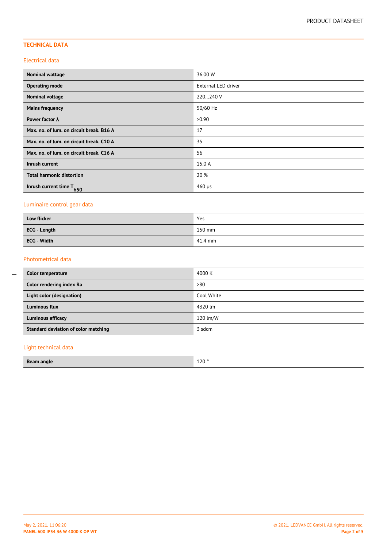# **TECHNICAL DATA**

### Electrical data

| <b>Nominal wattage</b>                   | 36.00 W             |
|------------------------------------------|---------------------|
| <b>Operating mode</b>                    | External LED driver |
| <b>Nominal voltage</b>                   | 220240 V            |
| <b>Mains frequency</b>                   | 50/60 Hz            |
| Power factor $\lambda$                   | >0.90               |
| Max. no. of lum. on circuit break. B16 A | 17                  |
| Max. no. of lum. on circuit break. C10 A | 35                  |
| Max. no. of lum. on circuit break. C16 A | 56                  |
| Inrush current                           | 15.0 A              |
| <b>Total harmonic distortion</b>         | 20 %                |
| Inrush current time T <sub>h50</sub>     | $460 \mu s$         |

# Luminaire control gear data

| Low flicker         | Yes     |
|---------------------|---------|
| <b>ECG</b> - Length | 150 mm  |
| ECG - Width         | 41.4 mm |

## Photometrical data

| Color temperature                    | 4000 K     |
|--------------------------------------|------------|
| Color rendering index Ra             | >80        |
| Light color (designation)            | Cool White |
| Luminous flux                        | 4320 lm    |
| <b>Luminous efficacy</b>             | 120 lm/W   |
| Standard deviation of color matching | 3 sdcm     |

# Light technical data

| <b>Beam angle</b> | 120 <sup>o</sup> |
|-------------------|------------------|
|-------------------|------------------|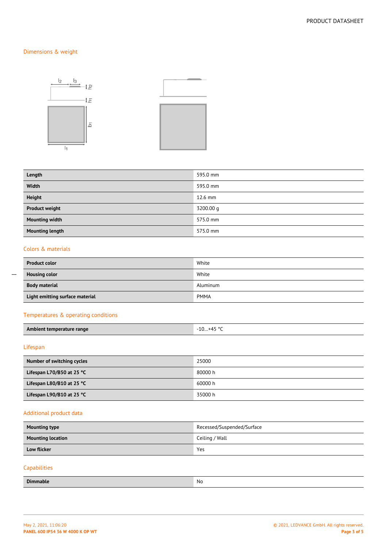# Dimensions & weight



| Length                 | 595.0 mm  |
|------------------------|-----------|
| Width                  | 595.0 mm  |
| <b>Height</b>          | 12.6 mm   |
| <b>Product weight</b>  | 3200.00 g |
| <b>Mounting width</b>  | 575.0 mm  |
| <b>Mounting length</b> | 575.0 mm  |

## Colors & materials

| <b>Product color</b>            | White       |
|---------------------------------|-------------|
| <b>Housing color</b>            | White       |
| <b>Body material</b>            | Aluminum    |
| Light emitting surface material | <b>PMMA</b> |

## Temperatures & operating conditions

| Ambient temperature range | -10+45 ° <sup>C</sup> |
|---------------------------|-----------------------|
|---------------------------|-----------------------|

## Lifespan

 $\overline{a}$ 

| Number of switching cycles          | 25000   |
|-------------------------------------|---------|
| Lifespan L70/B50 at 25 $°C$         | 80000 h |
| Lifespan L80/B10 at 25 $^{\circ}$ C | 60000 h |
| Lifespan L90/B10 at 25 $^{\circ}$ C | 35000 h |

# Additional product data

| <b>Mounting type</b>     | Recessed/Suspended/Surface |
|--------------------------|----------------------------|
| <b>Mounting location</b> | Ceiling / Wall             |
| <b>Low flicker</b>       | Yes                        |
| Capabilities             |                            |
| <b>Dimmable</b>          | No                         |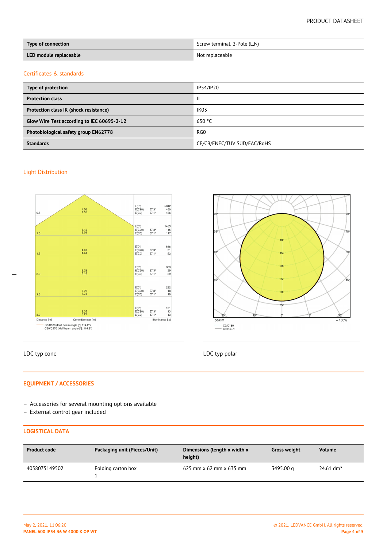| Type of connection     | Screw terminal, 2-Pole (L,N) |
|------------------------|------------------------------|
| LED module replaceable | Not replaceable              |

#### Certificates & standards

| Type of protection                         | IP54/IP20                   |
|--------------------------------------------|-----------------------------|
| <b>Protection class</b>                    | $\mathbf{I}$                |
| Protection class IK (shock resistance)     | IK <sub>03</sub>            |
| Glow Wire Test according to IEC 60695-2-12 | 650 °C                      |
| Photobiological safety group EN62778       | RG0                         |
| <b>Standards</b>                           | CE/CB/ENEC/TÜV SÜD/EAC/RoHS |

## Light Distribution



# LDC typ cone LDC typ polar

 $\overline{a}$ 



# **EQUIPMENT / ACCESSORIES**

- Accessories for several mounting options available
- External control gear included

# **LOGISTICAL DATA**

| <b>Product code</b> | Packaging unit (Pieces/Unit) | Dimensions (length x width x<br>height) | <b>Gross weight</b> | <b>Volume</b>           |
|---------------------|------------------------------|-----------------------------------------|---------------------|-------------------------|
| 4058075149502       | Folding carton box           | 625 mm $\times$ 62 mm $\times$ 635 mm   | 3495.00 g           | $24.61$ dm <sup>3</sup> |